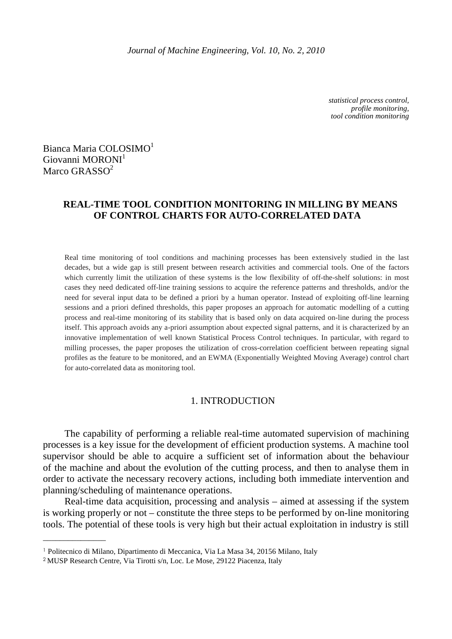*statistical process control, profile monitoring, tool condition monitoring* 

Bianca Maria COLOSIMO<sup>1</sup> Giovanni MORONI<sup>1</sup> Marco GRASSO<sup>2</sup>

# **REAL-TIME TOOL CONDITION MONITORING IN MILLING BY MEANS OF CONTROL CHARTS FOR AUTO-CORRELATED DATA**

Real time monitoring of tool conditions and machining processes has been extensively studied in the last decades, but a wide gap is still present between research activities and commercial tools. One of the factors which currently limit the utilization of these systems is the low flexibility of off-the-shelf solutions: in most cases they need dedicated off-line training sessions to acquire the reference patterns and thresholds, and/or the need for several input data to be defined a priori by a human operator. Instead of exploiting off-line learning sessions and a priori defined thresholds, this paper proposes an approach for automatic modelling of a cutting process and real-time monitoring of its stability that is based only on data acquired on-line during the process itself. This approach avoids any a-priori assumption about expected signal patterns, and it is characterized by an innovative implementation of well known Statistical Process Control techniques. In particular, with regard to milling processes, the paper proposes the utilization of cross-correlation coefficient between repeating signal profiles as the feature to be monitored, and an EWMA (Exponentially Weighted Moving Average) control chart for auto-correlated data as monitoring tool.

## 1. INTRODUCTION

The capability of performing a reliable real-time automated supervision of machining processes is a key issue for the development of efficient production systems. A machine tool supervisor should be able to acquire a sufficient set of information about the behaviour of the machine and about the evolution of the cutting process, and then to analyse them in order to activate the necessary recovery actions, including both immediate intervention and planning/scheduling of maintenance operations.

Real-time data acquisition, processing and analysis – aimed at assessing if the system is working properly or not – constitute the three steps to be performed by on-line monitoring tools. The potential of these tools is very high but their actual exploitation in industry is still

 $\frac{1}{2}$ 

<sup>1</sup> Politecnico di Milano, Dipartimento di Meccanica, Via La Masa 34, 20156 Milano, Italy

<sup>2</sup> MUSP Research Centre, Via Tirotti s/n, Loc. Le Mose, 29122 Piacenza, Italy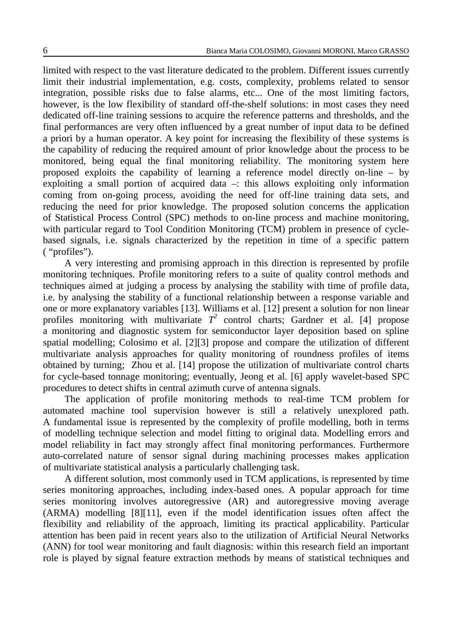limited with respect to the vast literature dedicated to the problem. Different issues currently limit their industrial implementation, e.g. costs, complexity, problems related to sensor integration, possible risks due to false alarms, etc... One of the most limiting factors, however, is the low flexibility of standard off-the-shelf solutions: in most cases they need dedicated off-line training sessions to acquire the reference patterns and thresholds, and the final performances are very often influenced by a great number of input data to be defined a priori by a human operator. A key point for increasing the flexibility of these systems is the capability of reducing the required amount of prior knowledge about the process to be monitored, being equal the final monitoring reliability. The monitoring system here proposed exploits the capability of learning a reference model directly on-line – by exploiting a small portion of acquired data –: this allows exploiting only information coming from on-going process, avoiding the need for off-line training data sets, and reducing the need for prior knowledge. The proposed solution concerns the application of Statistical Process Control (SPC) methods to on-line process and machine monitoring, with particular regard to Tool Condition Monitoring (TCM) problem in presence of cyclebased signals, i.e. signals characterized by the repetition in time of a specific pattern ( "profiles").

A very interesting and promising approach in this direction is represented by profile monitoring techniques. Profile monitoring refers to a suite of quality control methods and techniques aimed at judging a process by analysing the stability with time of profile data, i.e. by analysing the stability of a functional relationship between a response variable and one or more explanatory variables [13]. Williams et al. [12] present a solution for non linear profiles monitoring with multivariate  $T^2$  control charts; Gardner et al. [4] propose a monitoring and diagnostic system for semiconductor layer deposition based on spline spatial modelling; Colosimo et al. [2][3] propose and compare the utilization of different multivariate analysis approaches for quality monitoring of roundness profiles of items obtained by turning; Zhou et al. [14] propose the utilization of multivariate control charts for cycle-based tonnage monitoring; eventually, Jeong et al. [6] apply wavelet-based SPC procedures to detect shifts in central azimuth curve of antenna signals.

The application of profile monitoring methods to real-time TCM problem for automated machine tool supervision however is still a relatively unexplored path. A fundamental issue is represented by the complexity of profile modelling, both in terms of modelling technique selection and model fitting to original data. Modelling errors and model reliability in fact may strongly affect final monitoring performances. Furthermore auto-correlated nature of sensor signal during machining processes makes application of multivariate statistical analysis a particularly challenging task.

A different solution, most commonly used in TCM applications, is represented by time series monitoring approaches, including index-based ones. A popular approach for time series monitoring involves autoregressive (AR) and autoregressive moving average (ARMA) modelling [8][11], even if the model identification issues often affect the flexibility and reliability of the approach, limiting its practical applicability. Particular attention has been paid in recent years also to the utilization of Artificial Neural Networks (ANN) for tool wear monitoring and fault diagnosis: within this research field an important role is played by signal feature extraction methods by means of statistical techniques and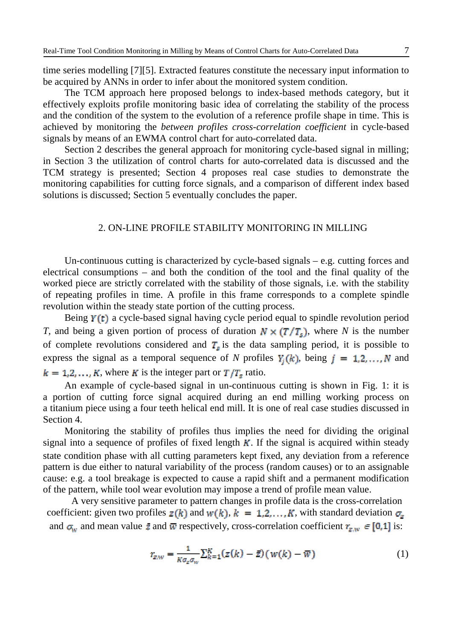time series modelling [7][5]. Extracted features constitute the necessary input information to be acquired by ANNs in order to infer about the monitored system condition.

The TCM approach here proposed belongs to index-based methods category, but it effectively exploits profile monitoring basic idea of correlating the stability of the process and the condition of the system to the evolution of a reference profile shape in time. This is achieved by monitoring the *between profiles cross-correlation coefficient* in cycle-based signals by means of an EWMA control chart for auto-correlated data.

Section 2 describes the general approach for monitoring cycle-based signal in milling; in Section 3 the utilization of control charts for auto-correlated data is discussed and the TCM strategy is presented; Section 4 proposes real case studies to demonstrate the monitoring capabilities for cutting force signals, and a comparison of different index based solutions is discussed; Section 5 eventually concludes the paper.

## 2. ON-LINE PROFILE STABILITY MONITORING IN MILLING

Un-continuous cutting is characterized by cycle-based signals – e.g. cutting forces and electrical consumptions – and both the condition of the tool and the final quality of the worked piece are strictly correlated with the stability of those signals, i.e. with the stability of repeating profiles in time. A profile in this frame corresponds to a complete spindle revolution within the steady state portion of the cutting process.

Being  $Y(t)$  a cycle-based signal having cycle period equal to spindle revolution period *T*, and being a given portion of process of duration  $N \times (T/T_s)$ , where *N* is the number of complete revolutions considered and  $T_s$  is the data sampling period, it is possible to express the signal as a temporal sequence of *N* profiles  $Y_i(k)$ , being  $j = 1, 2, ..., N$  and  $k = 1, 2, \ldots, K$ , where K is the integer part or  $T/T_s$  ratio.

An example of cycle-based signal in un-continuous cutting is shown in Fig. 1: it is a portion of cutting force signal acquired during an end milling working process on a titanium piece using a four teeth helical end mill. It is one of real case studies discussed in Section 4.

Monitoring the stability of profiles thus implies the need for dividing the original signal into a sequence of profiles of fixed length  $K$ . If the signal is acquired within steady state condition phase with all cutting parameters kept fixed, any deviation from a reference pattern is due either to natural variability of the process (random causes) or to an assignable cause: e.g. a tool breakage is expected to cause a rapid shift and a permanent modification of the pattern, while tool wear evolution may impose a trend of profile mean value.

A very sensitive parameter to pattern changes in profile data is the cross-correlation coefficient: given two profiles  $z(k)$  and  $w(k)$ ,  $k = 1, 2, ..., K$ , with standard deviation  $\sigma_z$ and  $\sigma_w$  and mean value  $\bar{z}$  and  $\bar{w}$  respectively, cross-correlation coefficient  $r_{z,w} \in [0,1]$  is:

$$
r_{z,w} = \frac{1}{k a_z a_w} \sum_{k=1}^{K} (z(k) - \bar{z}) (w(k) - \bar{w})
$$
 (1)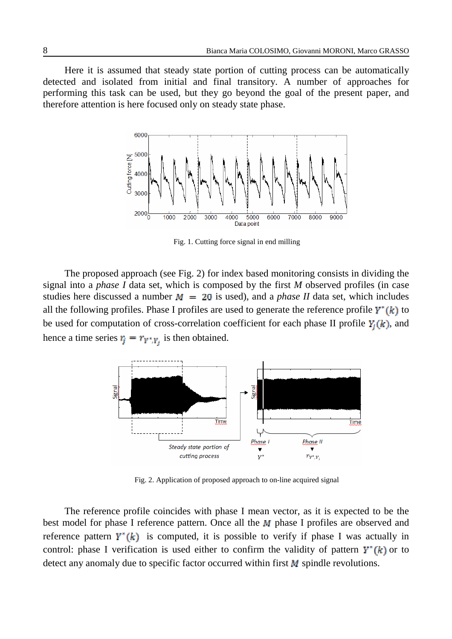Here it is assumed that steady state portion of cutting process can be automatically detected and isolated from initial and final transitory. A number of approaches for performing this task can be used, but they go beyond the goal of the present paper, and therefore attention is here focused only on steady state phase.



Fig. 1. Cutting force signal in end milling

The proposed approach (see Fig. 2) for index based monitoring consists in dividing the signal into a *phase I* data set, which is composed by the first *M* observed profiles (in case studies here discussed a number  $M = 20$  is used), and a *phase II* data set, which includes all the following profiles. Phase I profiles are used to generate the reference profile  $Y^*(k)$  to be used for computation of cross-correlation coefficient for each phase II profile  $Y_i(k)$ , and hence a time series  $r_j = r_{Y^*,Y_j}$  is then obtained.



Fig. 2. Application of proposed approach to on-line acquired signal

The reference profile coincides with phase I mean vector, as it is expected to be the best model for phase I reference pattern. Once all the  $M$  phase I profiles are observed and reference pattern  $Y^*(k)$  is computed, it is possible to verify if phase I was actually in control: phase I verification is used either to confirm the validity of pattern  $Y^*(k)$  or to detect any anomaly due to specific factor occurred within first  $M$  spindle revolutions.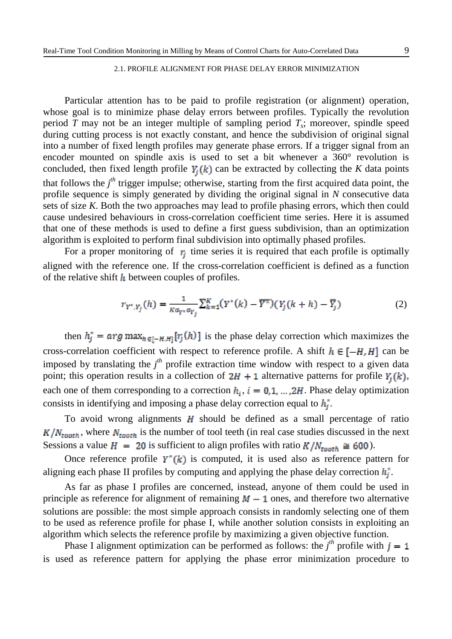#### 2.1. PROFILE ALIGNMENT FOR PHASE DELAY ERROR MINIMIZATION

Particular attention has to be paid to profile registration (or alignment) operation, whose goal is to minimize phase delay errors between profiles. Typically the revolution period *T* may not be an integer multiple of sampling period *T<sup>s</sup>* ; moreover, spindle speed during cutting process is not exactly constant, and hence the subdivision of original signal into a number of fixed length profiles may generate phase errors. If a trigger signal from an encoder mounted on spindle axis is used to set a bit whenever a 360° revolution is concluded, then fixed length profile  $Y_i(k)$  can be extracted by collecting the *K* data points that follows the *j th* trigger impulse; otherwise, starting from the first acquired data point, the profile sequence is simply generated by dividing the original signal in *N* consecutive data sets of size *K*. Both the two approaches may lead to profile phasing errors, which then could cause undesired behaviours in cross-correlation coefficient time series. Here it is assumed that one of these methods is used to define a first guess subdivision, than an optimization algorithm is exploited to perform final subdivision into optimally phased profiles.

For a proper monitoring of  $r_i$  time series it is required that each profile is optimally aligned with the reference one. If the cross-correlation coefficient is defined as a function of the relative shift  $\hbar$  between couples of profiles.

$$
r_{Y^*,Y_j}(h) = \frac{1}{\kappa a_{Y^*} a_{Y_j}} \sum_{k=1}^K (Y^*(k) - \overline{Y^*}) (Y_j(k+h) - \overline{Y_j})
$$
 (2)

then  $h_j^* = \arg \max_{h \in I-H,H} [r_j(h)]$  is the phase delay correction which maximizes the cross-correlation coefficient with respect to reference profile. A shift  $h \in [-H, H]$  can be imposed by translating the *j th* profile extraction time window with respect to a given data point; this operation results in a collection of  $2H + 1$  alternative patterns for profile  $Y_j(k)$ , each one of them corresponding to a correction  $h_i$ ,  $i = 0, 1, ..., 2H$ . Phase delay optimization consists in identifying and imposing a phase delay correction equal to  $h_i^*$ .

To avoid wrong alignments  $H$  should be defined as a small percentage of ratio  $K/N_{tooth}$ , where  $N_{tooth}$  is the number of tool teeth (in real case studies discussed in the next Sessions a value  $H = 20$  is sufficient to align profiles with ratio  $K/N_{\text{root}} \approx 600$ .

Once reference profile  $Y^*(k)$  is computed, it is used also as reference pattern for aligning each phase II profiles by computing and applying the phase delay correction  $h_i^*$ .

As far as phase I profiles are concerned, instead, anyone of them could be used in principle as reference for alignment of remaining  $M - 1$  ones, and therefore two alternative solutions are possible: the most simple approach consists in randomly selecting one of them to be used as reference profile for phase I, while another solution consists in exploiting an algorithm which selects the reference profile by maximizing a given objective function.

Phase I alignment optimization can be performed as follows: the  $j<sup>th</sup>$  profile with is used as reference pattern for applying the phase error minimization procedure to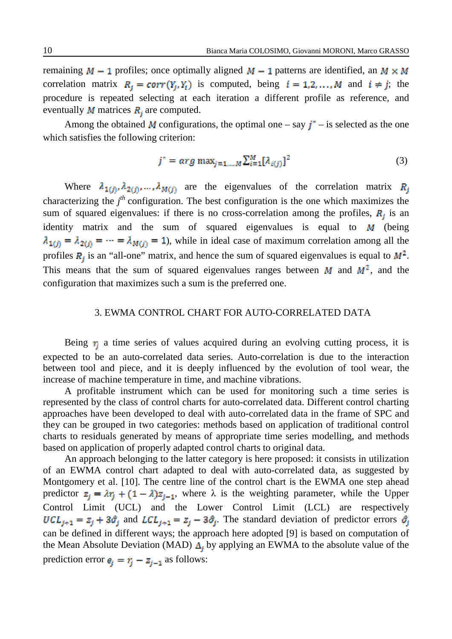remaining  $M - 1$  profiles; once optimally aligned  $M - 1$  patterns are identified, an  $M \times M$ correlation matrix  $R_j = corr(Y_j, Y_i)$  is computed, being  $i = 1, 2, ..., M$  and  $i \neq j$ ; the procedure is repeated selecting at each iteration a different profile as reference, and eventually **M** matrices  $\mathbf{R}_i$  are computed.

Among the obtained M configurations, the optimal one – say  $j^*$  – is selected as the one which satisfies the following criterion:

$$
j^* = \arg \max_{j=1,\dots,M} \sum_{i=1}^{M} [\lambda_{i(j)}]^2
$$
 (3)

Where  $\lambda_{1(i)}$ ,  $\lambda_{2(i)}$ , ...,  $\lambda_{M(i)}$  are the eigenvalues of the correlation matrix  $R_i$ characterizing the  $j<sup>th</sup>$  configuration. The best configuration is the one which maximizes the sum of squared eigenvalues: if there is no cross-correlation among the profiles,  $R_i$  is an identity matrix and the sum of squared eigenvalues is equal to  $M$  (being  $\lambda_{1(j)} = \lambda_{2(j)} = \cdots = \lambda_{M(j)} = 1$ , while in ideal case of maximum correlation among all the profiles  $R_j$  is an "all-one" matrix, and hence the sum of squared eigenvalues is equal to  $M^2$ . This means that the sum of squared eigenvalues ranges between  $M$  and  $M^2$ , and the configuration that maximizes such a sum is the preferred one.

## 3. EWMA CONTROL CHART FOR AUTO-CORRELATED DATA

Being  $r_i$  a time series of values acquired during an evolving cutting process, it is expected to be an auto-correlated data series. Auto-correlation is due to the interaction between tool and piece, and it is deeply influenced by the evolution of tool wear, the increase of machine temperature in time, and machine vibrations.

A profitable instrument which can be used for monitoring such a time series is represented by the class of control charts for auto-correlated data. Different control charting approaches have been developed to deal with auto-correlated data in the frame of SPC and they can be grouped in two categories: methods based on application of traditional control charts to residuals generated by means of appropriate time series modelling, and methods based on application of properly adapted control charts to original data.

An approach belonging to the latter category is here proposed: it consists in utilization of an EWMA control chart adapted to deal with auto-correlated data, as suggested by Montgomery et al. [10]. The centre line of the control chart is the EWMA one step ahead predictor  $z_i = \lambda r_i + (1 - \lambda)z_{i-1}$ , where  $\lambda$  is the weighting parameter, while the Upper Control Limit (UCL) and the Lower Control Limit (LCL) are respectively  $UCL_{j+1} = z_j + 3\hat{\sigma}_j$  and  $LCL_{j+1} = z_j - 3\hat{\sigma}_j$ . The standard deviation of predictor errors  $\hat{\sigma}_i$ can be defined in different ways; the approach here adopted [9] is based on computation of the Mean Absolute Deviation (MAD)  $\Delta_i$  by applying an EWMA to the absolute value of the prediction error  $e_i = r_i - z_{i-1}$  as follows: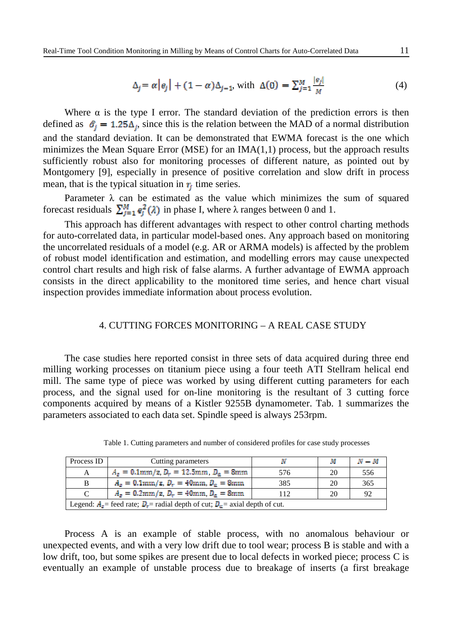$$
\Delta_j = \alpha \left| e_j \right| + (1 - \alpha) \Delta_{j-1}, \text{ with } \Delta(0) = \sum_{j=1}^M \frac{|e_j|}{M} \tag{4}
$$

Where  $\alpha$  is the type I error. The standard deviation of the prediction errors is then defined as  $\hat{\sigma}_i = 1.25\Delta_i$ , since this is the relation between the MAD of a normal distribution and the standard deviation. It can be demonstrated that EWMA forecast is the one which minimizes the Mean Square Error (MSE) for an IMA(1,1) process, but the approach results sufficiently robust also for monitoring processes of different nature, as pointed out by Montgomery [9], especially in presence of positive correlation and slow drift in process mean, that is the typical situation in  $r_i$  time series.

Parameter  $\lambda$  can be estimated as the value which minimizes the sum of squared forecast residuals  $\sum_{j=1}^{M} e_j^2(\lambda)$  in phase I, where  $\lambda$  ranges between 0 and 1.

This approach has different advantages with respect to other control charting methods for auto-correlated data, in particular model-based ones. Any approach based on monitoring the uncorrelated residuals of a model (e.g. AR or ARMA models) is affected by the problem of robust model identification and estimation, and modelling errors may cause unexpected control chart results and high risk of false alarms. A further advantage of EWMA approach consists in the direct applicability to the monitored time series, and hence chart visual inspection provides immediate information about process evolution.

#### 4. CUTTING FORCES MONITORING – A REAL CASE STUDY

The case studies here reported consist in three sets of data acquired during three end milling working processes on titanium piece using a four teeth ATI Stellram helical end mill. The same type of piece was worked by using different cutting parameters for each process, and the signal used for on-line monitoring is the resultant of 3 cutting force components acquired by means of a Kistler 9255B dynamometer. Tab. 1 summarizes the parameters associated to each data set. Spindle speed is always 253rpm.

| Process ID                                                                          | Cutting parameters                              |     | м  | $N-M$    |  |  |
|-------------------------------------------------------------------------------------|-------------------------------------------------|-----|----|----------|--|--|
| A                                                                                   | $A_z = 0.1$ mm/z, $D_r = 12.5$ mm, $D_a = 8$ mm | 576 | 20 | 556      |  |  |
| B                                                                                   | $A_z = 0.1$ mm/z, $D_r = 40$ mm, $D_a = 8$ mm   | 385 | 20 | 365      |  |  |
| C                                                                                   | $A_z = 0.2$ mm/z, $D_r = 40$ mm, $D_a = 8$ mm   | 112 | 20 | $\Omega$ |  |  |
| Legend: $A_z$ = feed rate; $D_x$ = radial depth of cut; $D_z$ = axial depth of cut. |                                                 |     |    |          |  |  |

Table 1. Cutting parameters and number of considered profiles for case study processes

Process A is an example of stable process, with no anomalous behaviour or unexpected events, and with a very low drift due to tool wear; process B is stable and with a low drift, too, but some spikes are present due to local defects in worked piece; process C is eventually an example of unstable process due to breakage of inserts (a first breakage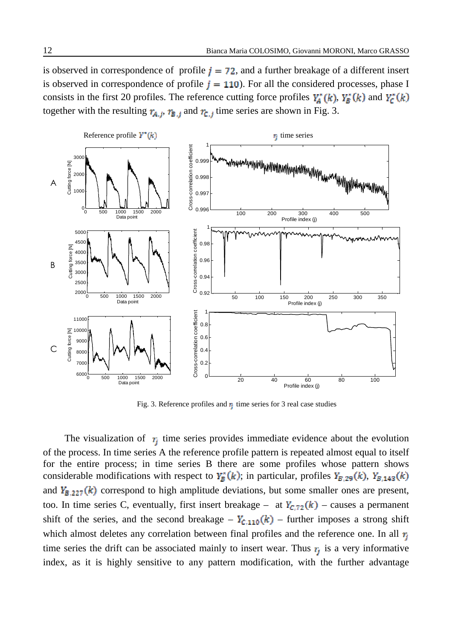is observed in correspondence of profile  $j = 72$ , and a further breakage of a different insert is observed in correspondence of profile  $j = 110$ ). For all the considered processes, phase I consists in the first 20 profiles. The reference cutting force profiles  $Y_A^*(k)$ ,  $Y_B^*(k)$  and  $Y_C^*(k)$ together with the resulting  $r_{A,j}$ ,  $r_{B,j}$  and  $r_{C,j}$  time series are shown in Fig. 3.



Fig. 3. Reference profiles and  $\mathbf{r}_i$  time series for 3 real case studies

The visualization of  $\tau_i$  time series provides immediate evidence about the evolution of the process. In time series A the reference profile pattern is repeated almost equal to itself for the entire process; in time series B there are some profiles whose pattern shows considerable modifications with respect to  $Y_B^*(k)$ ; in particular, profiles  $Y_{B,29}(k)$ ,  $Y_{B,143}(k)$ and  $Y_{B,227}(k)$  correspond to high amplitude deviations, but some smaller ones are present, too. In time series C, eventually, first insert breakage – at  $Y_{C,72}(k)$  – causes a permanent shift of the series, and the second breakage –  $Y_{c,110}(k)$  – further imposes a strong shift which almost deletes any correlation between final profiles and the reference one. In all  $r_i$ time series the drift can be associated mainly to insert wear. Thus  $r_i$  is a very informative index, as it is highly sensitive to any pattern modification, with the further advantage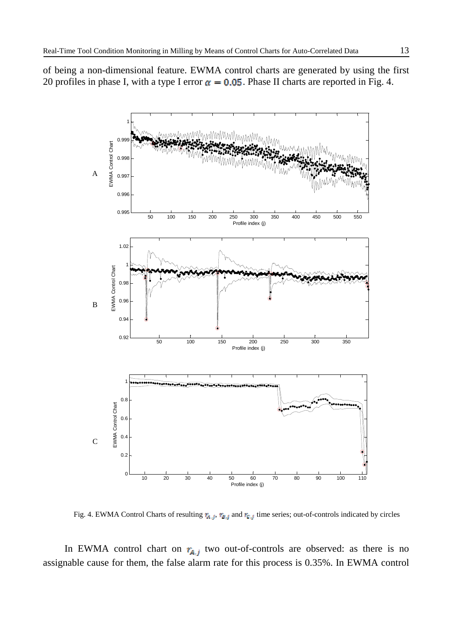of being a non-dimensional feature. EWMA control charts are generated by using the first 20 profiles in phase I, with a type I error  $\alpha = 0.05$ . Phase II charts are reported in Fig. 4.



Fig. 4. EWMA Control Charts of resulting  $\eta_{a,j}$ ,  $\eta_{\bar{a},j}$  and  $\eta_{\bar{c},j}$  time series; out-of-controls indicated by circles

In EWMA control chart on  $r_{A,j}$  two out-of-controls are observed: as there is no assignable cause for them, the false alarm rate for this process is 0.35%. In EWMA control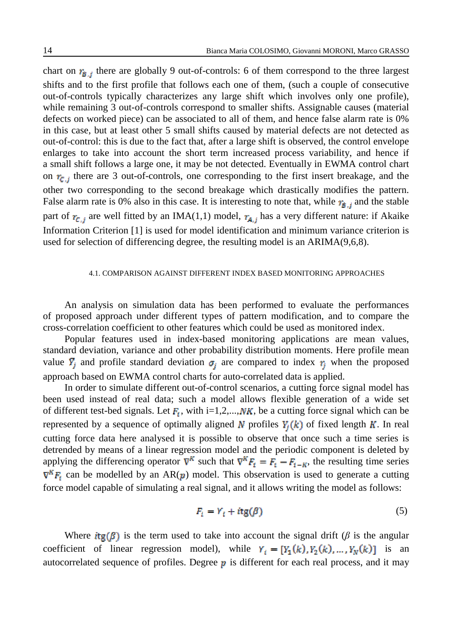chart on  $r_{\mathbf{g},j}$  there are globally 9 out-of-controls: 6 of them correspond to the three largest shifts and to the first profile that follows each one of them, (such a couple of consecutive out-of-controls typically characterizes any large shift which involves only one profile), while remaining 3 out-of-controls correspond to smaller shifts. Assignable causes (material defects on worked piece) can be associated to all of them, and hence false alarm rate is 0% in this case, but at least other 5 small shifts caused by material defects are not detected as out-of-control: this is due to the fact that, after a large shift is observed, the control envelope enlarges to take into account the short term increased process variability, and hence if a small shift follows a large one, it may be not detected. Eventually in EWMA control chart on  $r_{\text{c},i}$  there are 3 out-of-controls, one corresponding to the first insert breakage, and the other two corresponding to the second breakage which drastically modifies the pattern. False alarm rate is 0% also in this case. It is interesting to note that, while  $r_{\bar{g},j}$  and the stable part of  $r_{C,j}$  are well fitted by an IMA(1,1) model,  $r_{A,j}$  has a very different nature: if Akaike Information Criterion [1] is used for model identification and minimum variance criterion is used for selection of differencing degree, the resulting model is an ARIMA(9,6,8).

#### 4.1. COMPARISON AGAINST DIFFERENT INDEX BASED MONITORING APPROACHES

An analysis on simulation data has been performed to evaluate the performances of proposed approach under different types of pattern modification, and to compare the cross-correlation coefficient to other features which could be used as monitored index.

Popular features used in index-based monitoring applications are mean values, standard deviation, variance and other probability distribution moments. Here profile mean value  $\overline{Y}_j$  and profile standard deviation  $\sigma_j$  are compared to index  $r_j$  when the proposed approach based on EWMA control charts for auto-correlated data is applied.

In order to simulate different out-of-control scenarios, a cutting force signal model has been used instead of real data; such a model allows flexible generation of a wide set of different test-bed signals. Let  $F_t$ , with i=1,2,..., NK, be a cutting force signal which can be represented by a sequence of optimally aligned N profiles  $Y_i(k)$  of fixed length K. In real cutting force data here analysed it is possible to observe that once such a time series is detrended by means of a linear regression model and the periodic component is deleted by applying the differencing operator  $\nabla^K$  such that  $\nabla^K F_i = \overline{F}_i - \overline{F}_{i-K}$ , the resulting time series  $\nabla^K F_i$  can be modelled by an AR(p) model. This observation is used to generate a cutting force model capable of simulating a real signal, and it allows writing the model as follows:

$$
F_i = Y_i + itg(\beta) \tag{5}
$$

Where  $i\tau g(\beta)$  is the term used to take into account the signal drift ( $\beta$  is the angular coefficient of linear regression model), while  $Y_i = [Y_1(k), Y_2(k), ..., Y_N(k)]$  is an autocorrelated sequence of profiles. Degree  $\boldsymbol{p}$  is different for each real process, and it may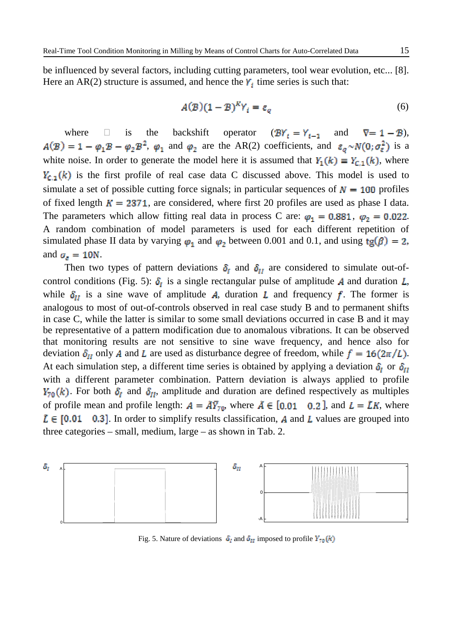be influenced by several factors, including cutting parameters, tool wear evolution, etc... [8]. Here an AR(2) structure is assumed, and hence the  $Y_i$  time series is such that:

$$
A(\mathcal{B})(1-\mathcal{B})^k Y_i = \varepsilon_q \tag{6}
$$

where  $\Box$  is the backshift operator  $(BY_i = Y_{i-1}$  and  $\nabla = 1 - B)$ ,  $A(\mathcal{B}) = 1 - \varphi_1 \mathcal{B} - \varphi_2 \mathcal{B}^2$ ,  $\varphi_1$  and  $\varphi_2$  are the AR(2) coefficients, and  $\varepsilon_q \sim N(0; \sigma_{\varepsilon}^2)$  is a white noise. In order to generate the model here it is assumed that  $Y_1(k) \equiv Y_{C,1}(k)$ , where  $Y_{c,1}(k)$  is the first profile of real case data C discussed above. This model is used to simulate a set of possible cutting force signals; in particular sequences of  $N = 100$  profiles of fixed length  $K = 2371$ , are considered, where first 20 profiles are used as phase I data. The parameters which allow fitting real data in process C are:  $\varphi_1 = 0.881$ ,  $\varphi_2 = 0.022$ . A random combination of model parameters is used for each different repetition of simulated phase II data by varying  $\varphi_1$  and  $\varphi_2$  between 0.001 and 0.1, and using  $tg(\beta) = 2$ , and  $\sigma_{\varepsilon} = 10N$ .

Then two types of pattern deviations  $\delta_I$  and  $\delta_{II}$  are considered to simulate out-ofcontrol conditions (Fig. 5):  $\delta_I$  is a single rectangular pulse of amplitude A and duration L, while  $\delta_{II}$  is a sine wave of amplitude A, duration L and frequency f. The former is analogous to most of out-of-controls observed in real case study B and to permanent shifts in case C, while the latter is similar to some small deviations occurred in case B and it may be representative of a pattern modification due to anomalous vibrations. It can be observed that monitoring results are not sensitive to sine wave frequency, and hence also for deviation  $\delta_{\text{tr}}$  only A and L are used as disturbance degree of freedom, while  $f = 16(2\pi/L)$ . At each simulation step, a different time series is obtained by applying a deviation  $\delta_I$  or  $\delta_{II}$ with a different parameter combination. Pattern deviation is always applied to profile  $Y_{\bar{r}_0}(k)$ . For both  $\delta_l$  and  $\delta_{ll}$ , amplitude and duration are defined respectively as multiples of profile mean and profile length:  $A = \overline{AY}_{70}$ , where  $\overline{A} \in [0.01 \ 0.2]$ , and  $L = \overline{LK}$ , where  $\tilde{L} \in [0.01 \quad 0.3]$ . In order to simplify results classification, A and L values are grouped into three categories – small, medium, large – as shown in Tab. 2.



Fig. 5. Nature of deviations  $\delta_i$  and  $\delta_{ii}$  imposed to profile  $Y_{\text{p0}}(k)$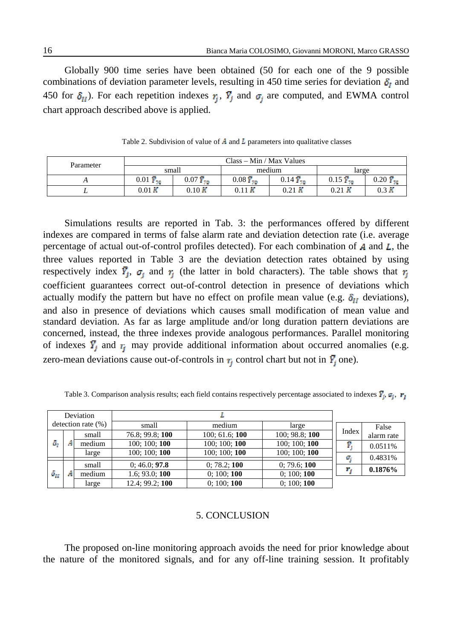Globally 900 time series have been obtained (50 for each one of the 9 possible combinations of deviation parameter levels, resulting in 450 time series for deviation  $\delta_l$  and 450 for  $\delta_{II}$ ). For each repetition indexes  $r_i$ ,  $\overline{Y}_i$  and  $\sigma_i$  are computed, and EWMA control chart approach described above is applied.

| Parameter | $Class - Min / Max Values$ |                     |                         |                     |                        |                        |
|-----------|----------------------------|---------------------|-------------------------|---------------------|------------------------|------------------------|
|           | small                      |                     |                         | medium              | large                  |                        |
|           | $0.01 \frac{1}{10}$        | $0.07 \frac{1}{10}$ | $0.08\overline{Y}_{70}$ | $0.14 \bar{Y}_{70}$ | $0.15 \, \bar{Y}_{10}$ | $0.20 \, \bar{Y}_{70}$ |
|           | 0.01K                      | 0.10K               |                         | $0.21\,$ K          | $0.21\,$ K             | $0.3\ K$               |

Table 2. Subdivision of value of  $\vec{A}$  and  $\vec{L}$  parameters into qualitative classes

Simulations results are reported in Tab. 3: the performances offered by different indexes are compared in terms of false alarm rate and deviation detection rate (i.e. average percentage of actual out-of-control profiles detected). For each combination of  $\bm{A}$  and  $\bm{L}$ , the three values reported in Table 3 are the deviation detection rates obtained by using respectively index  $\overline{Y}_j$ ,  $\sigma_j$  and  $\tau_j$  (the latter in bold characters). The table shows that  $\tau_j$ coefficient guarantees correct out-of-control detection in presence of deviations which actually modify the pattern but have no effect on profile mean value (e.g.  $\delta_{II}$  deviations), and also in presence of deviations which causes small modification of mean value and standard deviation. As far as large amplitude and/or long duration pattern deviations are concerned, instead, the three indexes provide analogous performances. Parallel monitoring of indexes  $\overline{Y}_i$  and  $r_i$  may provide additional information about occurred anomalies (e.g. zero-mean deviations cause out-of-controls in  $\tau_i$  control chart but not in  $\bar{Y}_i$  one).

| Deviation             |  |        |                 |                |                |       |            |
|-----------------------|--|--------|-----------------|----------------|----------------|-------|------------|
| detection rate $(\%)$ |  |        | small           | medium         | large          |       | False      |
| δ,                    |  | small  | 76.8; 99.8; 100 | 100; 61.6; 100 | 100; 98.8; 100 | Index | alarm rate |
|                       |  | medium | 100; 100; 100   | 100; 100; 100  | 100; 100; 100  | Ø.    | 0.0511%    |
|                       |  | large  | 100; 100; 100   | 100; 100; 100  | 100; 100; 100  |       | 0.4831%    |
| $\delta_{II}$         |  | small  | 0; 46.0; 97.8   | 0; 78.2; 100   | 0; 79.6; 100   |       |            |
|                       |  |        |                 |                |                |       | 0.1876%    |
|                       |  | medium | 1.6; 93.0; 100  | 0; 100; 100    | 0; 100; 100    |       |            |
|                       |  | large  | 12.4; 99.2; 100 | 0; 100; 100    | 0; 100; 100    |       |            |

Table 3. Comparison analysis results; each field contains respectively percentage associated to indexes  $\bar{Y}_i$ ,  $\sigma_i$ ,  $r_i$ 

## 5. CONCLUSION

The proposed on-line monitoring approach avoids the need for prior knowledge about the nature of the monitored signals, and for any off-line training session. It profitably